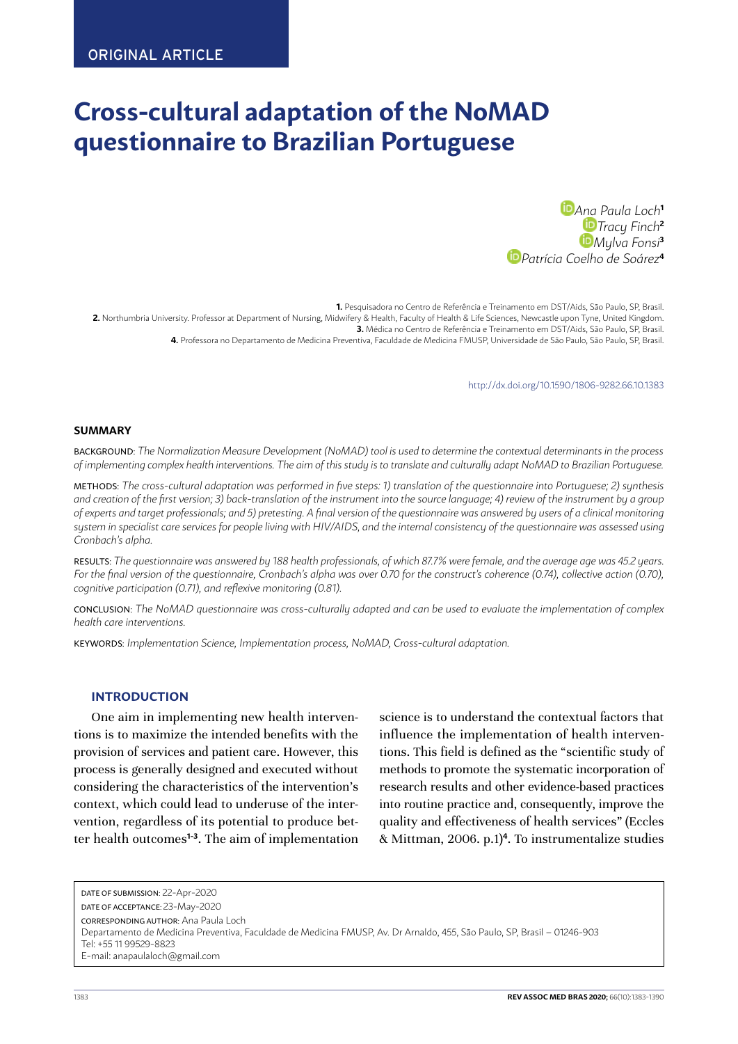# **Cross-cultural adaptation of the NoMAD questionnaire to Brazilian Portuguese**

*[Ana](https://orcid.org/0000-0001-8647-735X) Paula Loch***<sup>1</sup>** *Tracy Finch***<sup>2</sup>** *[M](https://orcid.org/0000-0002-9242-4630)ylva Fonsi***<sup>3</sup>** *[P](https://orcid.org/0000-0001-8383-0728)atrícia Coelho de Soárez***<sup>4</sup>**

**1.** Pesquisadora no Centro de Referência e Treinamento em DST/Aids, São Paulo, SP, Brasil. **2.** Northumbria University. Professor at Department of Nursing, Midwifery & Health, Faculty of Health & Life Sciences, Newcastle upon Tyne, United Kingdom. **3.** Médica no Centro de Referência e Treinamento em DST/Aids, São Paulo, SP, Brasil. **4.** Professora no Departamento de Medicina Preventiva, Faculdade de Medicina FMUSP, Universidade de São Paulo, São Paulo, SP, Brasil.

<span id="page-0-0"></span>http://dx.doi.org/10.1590/1806-9282.66.10[.1383](#page-0-0)

#### **SUMMARY**

BACKGROUND: *The Normalization Measure Development (NoMAD) tool is used to determine the contextual determinants in the process of implementing complex health interventions. The aim of this study is to translate and culturally adapt NoMAD to Brazilian Portuguese.*

METHODS: *The cross-cultural adaptation was performed in five steps: 1) translation of the questionnaire into Portuguese; 2) synthesis and creation of the first version; 3) back-translation of the instrument into the source language; 4) review of the instrument by a group of experts and target professionals; and 5) pretesting. A final version of the questionnaire was answered by users of a clinical monitoring system in specialist care services for people living with HIV/AIDS, and the internal consistency of the questionnaire was assessed using Cronbach's alpha.*

RESULTS: *The questionnaire was answered by 188 health professionals, of which 87.7% were female, and the average age was 45.2 years. For the final version of the questionnaire, Cronbach's alpha was over 0.70 for the construct's coherence (0.74), collective action (0.70), cognitive participation (0.71), and reflexive monitoring (0.81).*

CONCLUSION: *The NoMAD questionnaire was cross-culturally adapted and can be used to evaluate the implementation of complex health care interventions.*

KEYWORDS: *Implementation Science, Implementation process, NoMAD, Cross-cultural adaptation.*

#### **INTRODUCTION**

One aim in implementing new health interventions is to maximize the intended benefits with the provision of services and patient care. However, this process is generally designed and executed without considering the characteristics of the intervention's context, which could lead to underuse of the intervention, regardless of its potential to produce better health outcomes**1-3**. The aim of implementation

science is to understand the contextual factors that influence the implementation of health interventions. This field is defined as the "scientific study of methods to promote the systematic incorporation of research results and other evidence-based practices into routine practice and, consequently, improve the quality and effectiveness of health services" (Eccles & Mittman, 2006. p.1)**<sup>4</sup>** . To instrumentalize studies

DATE OF SUBMISSION: 22-Apr-2020 DATE OF ACCEPTANCE: 23-May-2020 CORRESPONDING AUTHOR: Ana Paula Loch Departamento de Medicina Preventiva, Faculdade de Medicina FMUSP, Av. Dr Arnaldo, 455, São Paulo, SP, Brasil – 01246-903 Tel: +55 11 99529-8823 E-mail: anapaulaloch@gmail.com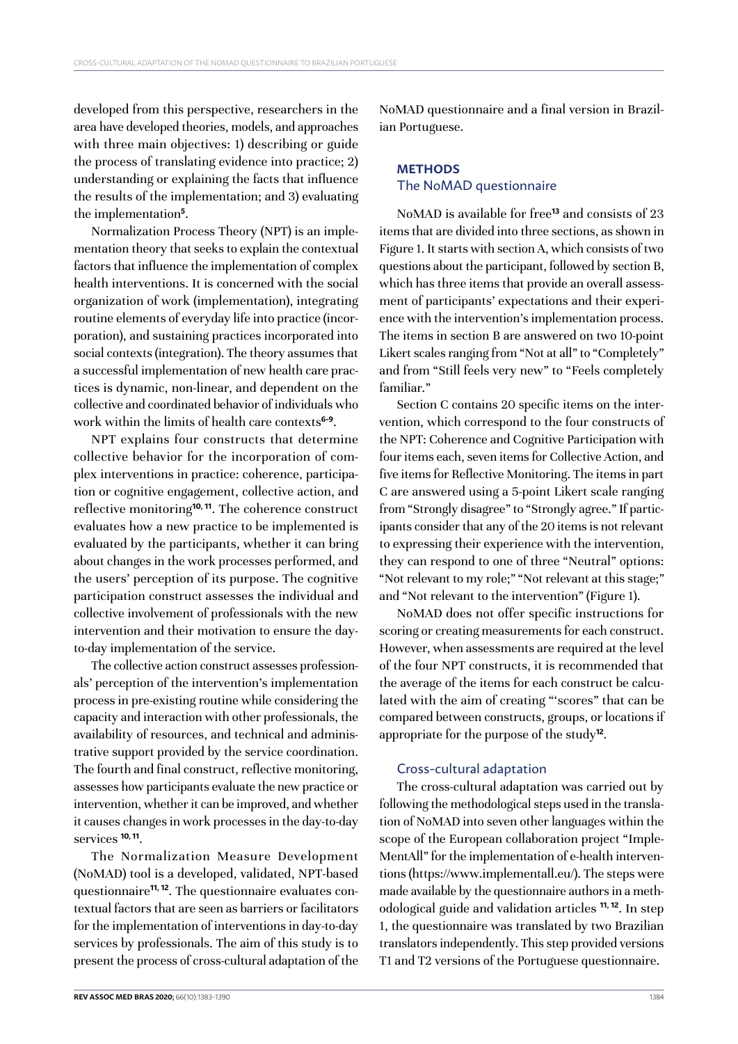developed from this perspective, researchers in the area have developed theories, models, and approaches with three main objectives: 1) describing or guide the process of translating evidence into practice; 2) understanding or explaining the facts that influence the results of the implementation; and 3) evaluating the implementation**<sup>5</sup>** .

Normalization Process Theory (NPT) is an implementation theory that seeks to explain the contextual factors that influence the implementation of complex health interventions. It is concerned with the social organization of work (implementation), integrating routine elements of everyday life into practice (incorporation), and sustaining practices incorporated into social contexts (integration). The theory assumes that a successful implementation of new health care practices is dynamic, non-linear, and dependent on the collective and coordinated behavior of individuals who work within the limits of health care contexts**6-9**.

NPT explains four constructs that determine collective behavior for the incorporation of complex interventions in practice: coherence, participation or cognitive engagement, collective action, and reflective monitoring**10, 11**. The coherence construct evaluates how a new practice to be implemented is evaluated by the participants, whether it can bring about changes in the work processes performed, and the users' perception of its purpose. The cognitive participation construct assesses the individual and collective involvement of professionals with the new intervention and their motivation to ensure the dayto-day implementation of the service.

The collective action construct assesses professionals' perception of the intervention's implementation process in pre-existing routine while considering the capacity and interaction with other professionals, the availability of resources, and technical and administrative support provided by the service coordination. The fourth and final construct, reflective monitoring, assesses how participants evaluate the new practice or intervention, whether it can be improved, and whether it causes changes in work processes in the day-to-day services **10, 11**.

The Normalization Measure Development (NoMAD) tool is a developed, validated, NPT-based questionnaire**11, 12**. The questionnaire evaluates contextual factors that are seen as barriers or facilitators for the implementation of interventions in day-to-day services by professionals. The aim of this study is to present the process of cross-cultural adaptation of the

**REV ASSOC MED BRAS 2020:** 66(10):[1383](#page-0-0)-1390 1384

NoMAD questionnaire and a final version in Brazilian Portuguese.

# **METHODS** The NoMAD questionnaire

NoMAD is available for free**<sup>13</sup>** and consists of 23 items that are divided into three sections, as shown in Figure 1. It starts with section A, which consists of two questions about the participant, followed by section B, which has three items that provide an overall assessment of participants' expectations and their experience with the intervention's implementation process. The items in section B are answered on two 10-point Likert scales ranging from "Not at all" to "Completely" and from "Still feels very new" to "Feels completely familiar."

Section C contains 20 specific items on the intervention, which correspond to the four constructs of the NPT: Coherence and Cognitive Participation with four items each, seven items for Collective Action, and five items for Reflective Monitoring. The items in part C are answered using a 5-point Likert scale ranging from "Strongly disagree" to "Strongly agree." If participants consider that any of the 20 items is not relevant to expressing their experience with the intervention, they can respond to one of three "Neutral" options: "Not relevant to my role;" "Not relevant at this stage;" and "Not relevant to the intervention" (Figure 1).

NoMAD does not offer specific instructions for scoring or creating measurements for each construct. However, when assessments are required at the level of the four NPT constructs, it is recommended that the average of the items for each construct be calculated with the aim of creating "'scores" that can be compared between constructs, groups, or locations if appropriate for the purpose of the study**<sup>12</sup>**.

### Cross-cultural adaptation

The cross-cultural adaptation was carried out by following the methodological steps used in the translation of NoMAD into seven other languages within the scope of the European collaboration project "Imple-MentAll" for the implementation of e-health interventions (<https://www.implementall.eu/>). The steps were made available by the questionnaire authors in a methodological guide and validation articles **11, 12**. In step 1, the questionnaire was translated by two Brazilian translators independently. This step provided versions T1 and T2 versions of the Portuguese questionnaire.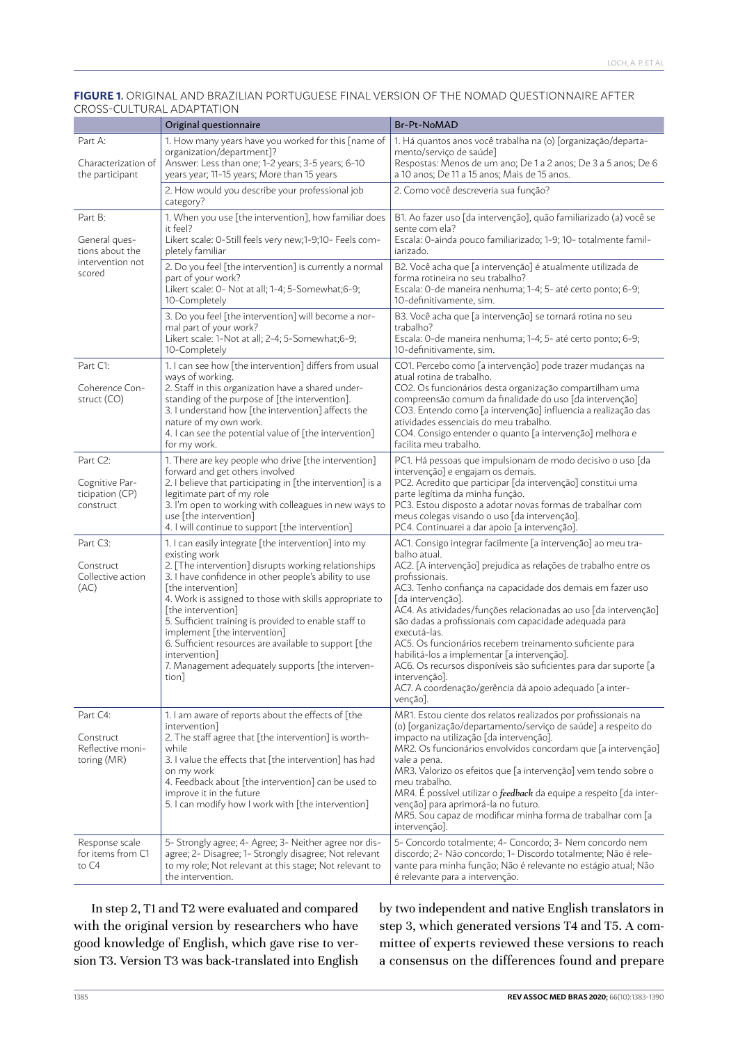#### **FIGURE 1.** ORIGINAL AND BRAZILIAN PORTUGUESE FINAL VERSION OF THE NOMAD QUESTIONNAIRE AFTER CROSS-CULTURAL ADAPTATION

|                                                                           | Original questionnaire                                                                                                                                                                                                                                                                                                                                                                                                                                                                                                        | Br-Pt-NoMAD                                                                                                                                                                                                                                                                                                                                                                                                                                                                                                                                                                                                                                                              |
|---------------------------------------------------------------------------|-------------------------------------------------------------------------------------------------------------------------------------------------------------------------------------------------------------------------------------------------------------------------------------------------------------------------------------------------------------------------------------------------------------------------------------------------------------------------------------------------------------------------------|--------------------------------------------------------------------------------------------------------------------------------------------------------------------------------------------------------------------------------------------------------------------------------------------------------------------------------------------------------------------------------------------------------------------------------------------------------------------------------------------------------------------------------------------------------------------------------------------------------------------------------------------------------------------------|
| Part A:<br>Characterization of<br>the participant                         | 1. How many years have you worked for this [name of<br>organization/department]?<br>Answer: Less than one; 1-2 years; 3-5 years; 6-10<br>years year; 11-15 years; More than 15 years                                                                                                                                                                                                                                                                                                                                          | 1. Há quantos anos você trabalha na (o) [organização/departa-<br>mento/serviço de saúde]<br>Respostas: Menos de um ano; De 1 a 2 anos; De 3 a 5 anos; De 6<br>a 10 anos; De 11 a 15 anos; Mais de 15 anos.                                                                                                                                                                                                                                                                                                                                                                                                                                                               |
|                                                                           | 2. How would you describe your professional job<br>category?                                                                                                                                                                                                                                                                                                                                                                                                                                                                  | 2. Como você descreveria sua função?                                                                                                                                                                                                                                                                                                                                                                                                                                                                                                                                                                                                                                     |
| Part B:<br>General ques-<br>tions about the<br>intervention not<br>scored | 1. When you use [the intervention], how familiar does<br>it feel?<br>Likert scale: 0-Still feels very new;1-9;10- Feels com-<br>pletely familiar                                                                                                                                                                                                                                                                                                                                                                              | B1. Ao fazer uso [da intervenção], quão familiarizado (a) você se<br>sente com ela?<br>Escala: O-ainda pouco familiarizado; 1-9; 10- totalmente famil-<br>iarizado.                                                                                                                                                                                                                                                                                                                                                                                                                                                                                                      |
|                                                                           | 2. Do you feel [the intervention] is currently a normal<br>part of your work?<br>Likert scale: 0- Not at all; 1-4; 5-Somewhat; 6-9;<br>10-Completely                                                                                                                                                                                                                                                                                                                                                                          | B2. Você acha que [a intervenção] é atualmente utilizada de<br>forma rotineira no seu trabalho?<br>Escala: O-de maneira nenhuma; 1-4; 5- até certo ponto; 6-9;<br>10-definitivamente, sim.                                                                                                                                                                                                                                                                                                                                                                                                                                                                               |
|                                                                           | 3. Do you feel [the intervention] will become a nor-<br>mal part of your work?<br>Likert scale: 1-Not at all; 2-4; 5-Somewhat;6-9;<br>10-Completely                                                                                                                                                                                                                                                                                                                                                                           | B3. Você acha que [a intervenção] se tornará rotina no seu<br>trabalho?<br>Escala: O-de maneira nenhuma; 1-4; 5- até certo ponto; 6-9;<br>10-definitivamente, sim.                                                                                                                                                                                                                                                                                                                                                                                                                                                                                                       |
| Part C1:<br>Coherence Con-<br>struct (CO)                                 | 1. I can see how [the intervention] differs from usual<br>ways of working.<br>2. Staff in this organization have a shared under-<br>standing of the purpose of [the intervention].<br>3. I understand how [the intervention] affects the<br>nature of my own work.<br>4. I can see the potential value of [the intervention]<br>for my work.                                                                                                                                                                                  | CO1. Percebo como [a intervenção] pode trazer mudanças na<br>atual rotina de trabalho.<br>CO2. Os funcionários desta organização compartilham uma<br>compreensão comum da finalidade do uso [da intervenção]<br>CO3. Entendo como [a intervenção] influencia a realização das<br>atividades essenciais do meu trabalho.<br>CO4. Consigo entender o quanto [a intervenção] melhora e<br>facilita meu trabalho.                                                                                                                                                                                                                                                            |
| Part C2:<br>Cognitive Par-<br>ticipation (CP)<br>construct                | 1. There are key people who drive [the intervention]<br>forward and get others involved<br>2. I believe that participating in [the intervention] is a<br>legitimate part of my role<br>3. I'm open to working with colleagues in new ways to<br>use [the intervention]<br>4. I will continue to support [the intervention]                                                                                                                                                                                                    | PC1. Há pessoas que impulsionam de modo decisivo o uso [da<br>intervenção] e engajam os demais.<br>PC2. Acredito que participar [da intervenção] constitui uma<br>parte legítima da minha função.<br>PC3. Estou disposto a adotar novas formas de trabalhar com<br>meus colegas visando o uso [da intervenção].<br>PC4. Continuarei a dar apoio [a intervenção].                                                                                                                                                                                                                                                                                                         |
| Part C3:<br>Construct<br>Collective action<br>(AC)                        | 1. I can easily integrate [the intervention] into my<br>existing work<br>2. [The intervention] disrupts working relationships<br>3. I have confidence in other people's ability to use<br>[the intervention]<br>4. Work is assigned to those with skills appropriate to<br>[the intervention]<br>5. Sufficient training is provided to enable staff to<br>implement [the intervention]<br>6. Sufficient resources are available to support [the<br>intervention]<br>7. Management adequately supports [the interven-<br>tion] | AC1. Consigo integrar facilmente [a intervenção] ao meu tra-<br>balho atual.<br>AC2. [A intervenção] prejudica as relações de trabalho entre os<br>profissionais.<br>AC3. Tenho confiança na capacidade dos demais em fazer uso<br>[da intervenção].<br>AC4. As atividades/funções relacionadas ao uso [da intervenção]<br>são dadas a profissionais com capacidade adequada para<br>executá-las.<br>AC5. Os funcionários recebem treinamento suficiente para<br>habilitá-los a implementar [a intervenção].<br>AC6. Os recursos disponíveis são suficientes para dar suporte [a<br>intervenção].<br>AC7. A coordenação/gerência dá apoio adequado [a inter-<br>venção]. |
| Part C4:<br>Construct<br>Reflective moni-<br>toring (MR)                  | 1. I am aware of reports about the effects of [the<br>intervention]<br>2. The staff agree that [the intervention] is worth-<br>while<br>3. I value the effects that [the intervention] has had<br>on my work<br>4. Feedback about [the intervention] can be used to<br>improve it in the future<br>5. I can modify how I work with [the intervention]                                                                                                                                                                         | MR1. Estou ciente dos relatos realizados por profissionais na<br>(o) [organização/departamento/serviço de saúde] a respeito do<br>impacto na utilização [da intervenção].<br>MR2. Os funcionários envolvidos concordam que [a intervenção]<br>vale a pena.<br>MR3. Valorizo os efeitos que [a intervenção] vem tendo sobre o<br>meu trabalho.<br>MR4. É possível utilizar o feedback da equipe a respeito [da inter-<br>venção] para aprimorá-la no futuro.<br>MR5. Sou capaz de modificar minha forma de trabalhar com [a<br>intervenção].                                                                                                                              |
| Response scale<br>for items from C1<br>to C4                              | 5- Strongly agree; 4- Agree; 3- Neither agree nor dis-<br>agree; 2- Disagree; 1- Strongly disagree; Not relevant<br>to my role; Not relevant at this stage; Not relevant to<br>the intervention.                                                                                                                                                                                                                                                                                                                              | 5- Concordo totalmente; 4- Concordo; 3- Nem concordo nem<br>discordo; 2- Não concordo; 1- Discordo totalmente; Não é rele-<br>vante para minha função; Não é relevante no estágio atual; Não<br>é relevante para a intervenção.                                                                                                                                                                                                                                                                                                                                                                                                                                          |

In step 2, T1 and T2 were evaluated and compared with the original version by researchers who have good knowledge of English, which gave rise to version T3. Version T3 was back-translated into English by two independent and native English translators in step 3, which generated versions T4 and T5. A committee of experts reviewed these versions to reach a consensus on the differences found and prepare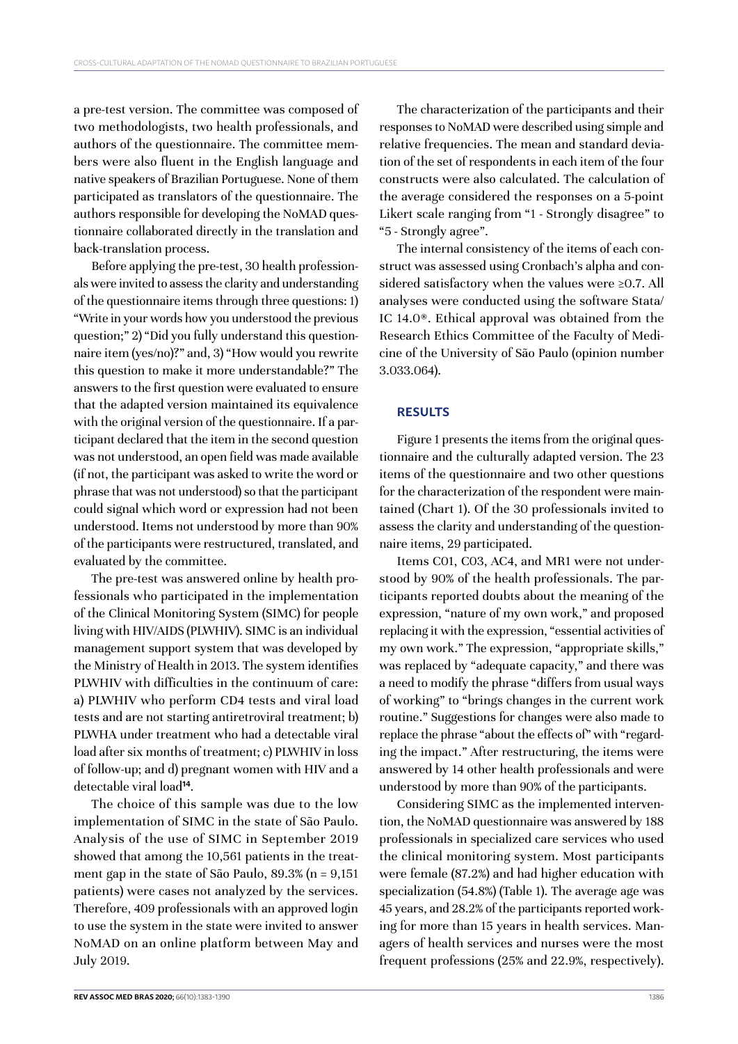a pre-test version. The committee was composed of two methodologists, two health professionals, and authors of the questionnaire. The committee members were also fluent in the English language and native speakers of Brazilian Portuguese. None of them participated as translators of the questionnaire. The authors responsible for developing the NoMAD questionnaire collaborated directly in the translation and back-translation process.

Before applying the pre-test, 30 health professionals were invited to assess the clarity and understanding of the questionnaire items through three questions: 1) "Write in your words how you understood the previous question;" 2) "Did you fully understand this questionnaire item (yes/no)?" and, 3) "How would you rewrite this question to make it more understandable?" The answers to the first question were evaluated to ensure that the adapted version maintained its equivalence with the original version of the questionnaire. If a participant declared that the item in the second question was not understood, an open field was made available (if not, the participant was asked to write the word or phrase that was not understood) so that the participant could signal which word or expression had not been understood. Items not understood by more than 90% of the participants were restructured, translated, and evaluated by the committee.

The pre-test was answered online by health professionals who participated in the implementation of the Clinical Monitoring System (SIMC) for people living with HIV/AIDS (PLWHIV). SIMC is an individual management support system that was developed by the Ministry of Health in 2013. The system identifies PLWHIV with difficulties in the continuum of care: a) PLWHIV who perform CD4 tests and viral load tests and are not starting antiretroviral treatment; b) PLWHA under treatment who had a detectable viral load after six months of treatment; c) PLWHIV in loss of follow-up; and d) pregnant women with HIV and a detectable viral load**<sup>14</sup>**.

The choice of this sample was due to the low implementation of SIMC in the state of São Paulo. Analysis of the use of SIMC in September 2019 showed that among the 10,561 patients in the treatment gap in the state of São Paulo, 89.3% (n = 9,151 patients) were cases not analyzed by the services. Therefore, 409 professionals with an approved login to use the system in the state were invited to answer NoMAD on an online platform between May and July 2019.

The characterization of the participants and their responses to NoMAD were described using simple and relative frequencies. The mean and standard deviation of the set of respondents in each item of the four constructs were also calculated. The calculation of the average considered the responses on a 5-point Likert scale ranging from "1 - Strongly disagree" to "5 - Strongly agree".

The internal consistency of the items of each construct was assessed using Cronbach's alpha and considered satisfactory when the values were ≥0.7. All analyses were conducted using the software Stata/ IC 14.0®. Ethical approval was obtained from the Research Ethics Committee of the Faculty of Medicine of the University of São Paulo (opinion number 3.033.064).

# **RESULTS**

Figure 1 presents the items from the original questionnaire and the culturally adapted version. The 23 items of the questionnaire and two other questions for the characterization of the respondent were maintained (Chart 1). Of the 30 professionals invited to assess the clarity and understanding of the questionnaire items, 29 participated.

Items C01, C03, AC4, and MR1 were not understood by 90% of the health professionals. The participants reported doubts about the meaning of the expression, "nature of my own work," and proposed replacing it with the expression, "essential activities of my own work." The expression, "appropriate skills," was replaced by "adequate capacity," and there was a need to modify the phrase "differs from usual ways of working" to "brings changes in the current work routine." Suggestions for changes were also made to replace the phrase "about the effects of" with "regarding the impact." After restructuring, the items were answered by 14 other health professionals and were understood by more than 90% of the participants.

Considering SIMC as the implemented intervention, the NoMAD questionnaire was answered by 188 professionals in specialized care services who used the clinical monitoring system. Most participants were female (87.2%) and had higher education with specialization (54.8%) (Table 1). The average age was 45 years, and 28.2% of the participants reported working for more than 15 years in health services. Managers of health services and nurses were the most frequent professions (25% and 22.9%, respectively).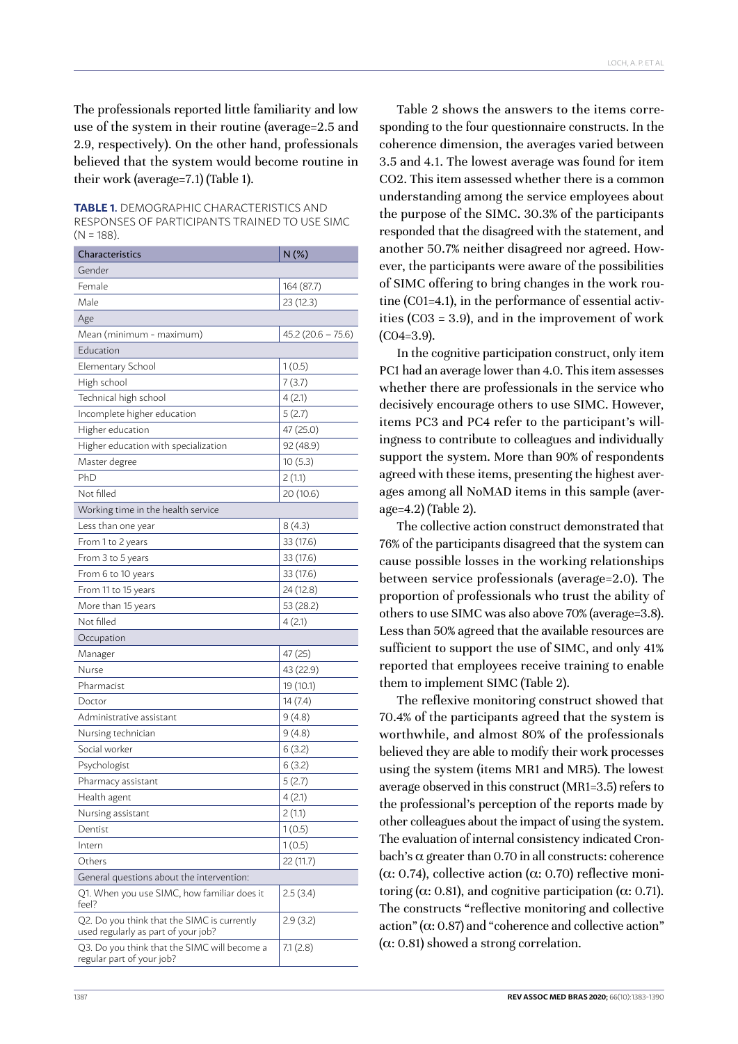The professionals reported little familiarity and low use of the system in their routine (average=2.5 and 2.9, respectively). On the other hand, professionals believed that the system would become routine in their work (average=7.1) (Table 1).

**TABLE 1.** DEMOGRAPHIC CHARACTERISTICS AND RESPONSES OF PARTICIPANTS TRAINED TO USE SIMC  $(N = 188)$ .

| <b>Characteristics</b>                                                             | N(%)                |  |  |
|------------------------------------------------------------------------------------|---------------------|--|--|
| Gender                                                                             |                     |  |  |
| Female                                                                             | 164 (87.7)          |  |  |
| Male                                                                               | 23 (12.3)           |  |  |
| Age                                                                                |                     |  |  |
| Mean (minimum - maximum)                                                           | $45.2(20.6 - 75.6)$ |  |  |
| Education                                                                          |                     |  |  |
| Elementary School                                                                  | 1(0.5)              |  |  |
| High school                                                                        | 7(3.7)              |  |  |
| Technical high school                                                              | 4(2.1)              |  |  |
| Incomplete higher education                                                        | 5(2.7)              |  |  |
| Higher education                                                                   | 47 (25.0)           |  |  |
| Higher education with specialization                                               | 92 (48.9)           |  |  |
| Master degree                                                                      | 10(5.3)             |  |  |
| PhD                                                                                | 2 (1.1)             |  |  |
| Not filled                                                                         | 20 (10.6)           |  |  |
| Working time in the health service                                                 |                     |  |  |
| Less than one year                                                                 | 8(4.3)              |  |  |
| From 1 to 2 years                                                                  | 33 (17.6)           |  |  |
| From 3 to 5 years                                                                  | 33 (17.6)           |  |  |
| From 6 to 10 years                                                                 | 33 (17.6)           |  |  |
| From 11 to 15 years                                                                | 24 (12.8)           |  |  |
| More than 15 years                                                                 | 53 (28.2)           |  |  |
| Not filled                                                                         | 4(2.1)              |  |  |
| Occupation                                                                         |                     |  |  |
| Manager                                                                            | 47 (25)             |  |  |
| Nurse                                                                              | 43 (22.9)           |  |  |
| Pharmacist                                                                         | 19 (10.1)           |  |  |
| Doctor                                                                             | 14(7.4)             |  |  |
| Administrative assistant                                                           | 9(4.8)              |  |  |
| Nursing technician                                                                 | 9(4.8)              |  |  |
| Social worker                                                                      | 6(3.2)              |  |  |
| Psychologist                                                                       | 6(3.2)              |  |  |
| Pharmacy assistant                                                                 | 5(2.7)              |  |  |
| Health agent                                                                       | 4(2.1)              |  |  |
| Nursing assistant                                                                  | 2(1.1)              |  |  |
| Dentist                                                                            | 1(0.5)              |  |  |
| Intern                                                                             | 1(0.5)              |  |  |
| Others                                                                             | 22 (11.7)           |  |  |
| General questions about the intervention:                                          |                     |  |  |
| Q1. When you use SIMC, how familiar does it<br>feel?                               | 2.5(3.4)            |  |  |
| Q2. Do you think that the SIMC is currently<br>used regularly as part of your job? | 2.9(3.2)            |  |  |
| Q3. Do you think that the SIMC will become a<br>regular part of your job?          | 7.1(2.8)            |  |  |

Table 2 shows the answers to the items corresponding to the four questionnaire constructs. In the coherence dimension, the averages varied between 3.5 and 4.1. The lowest average was found for item CO2. This item assessed whether there is a common understanding among the service employees about the purpose of the SIMC. 30.3% of the participants responded that the disagreed with the statement, and another 50.7% neither disagreed nor agreed. However, the participants were aware of the possibilities of SIMC offering to bring changes in the work routine (C01=4.1), in the performance of essential activities (C03 = 3.9), and in the improvement of work  $(C04=3.9)$ .

In the cognitive participation construct, only item PC1 had an average lower than 4.0. This item assesses whether there are professionals in the service who decisively encourage others to use SIMC. However, items PC3 and PC4 refer to the participant's willingness to contribute to colleagues and individually support the system. More than 90% of respondents agreed with these items, presenting the highest averages among all NoMAD items in this sample (average=4.2) (Table 2).

The collective action construct demonstrated that 76% of the participants disagreed that the system can cause possible losses in the working relationships between service professionals (average=2.0). The proportion of professionals who trust the ability of others to use SIMC was also above 70% (average=3.8). Less than 50% agreed that the available resources are sufficient to support the use of SIMC, and only 41% reported that employees receive training to enable them to implement SIMC (Table 2).

The reflexive monitoring construct showed that 70.4% of the participants agreed that the system is worthwhile, and almost 80% of the professionals believed they are able to modify their work processes using the system (items MR1 and MR5). The lowest average observed in this construct (MR1=3.5) refers to the professional's perception of the reports made by other colleagues about the impact of using the system. The evaluation of internal consistency indicated Cronbach's  $\alpha$  greater than 0.70 in all constructs: coherence (α: 0.74), collective action (α: 0.70) reflective monitoring ( $\alpha$ : 0.81), and cognitive participation ( $\alpha$ : 0.71). The constructs "reflective monitoring and collective action" ( $\alpha$ : 0.87) and "coherence and collective action" (α: 0.81) showed a strong correlation.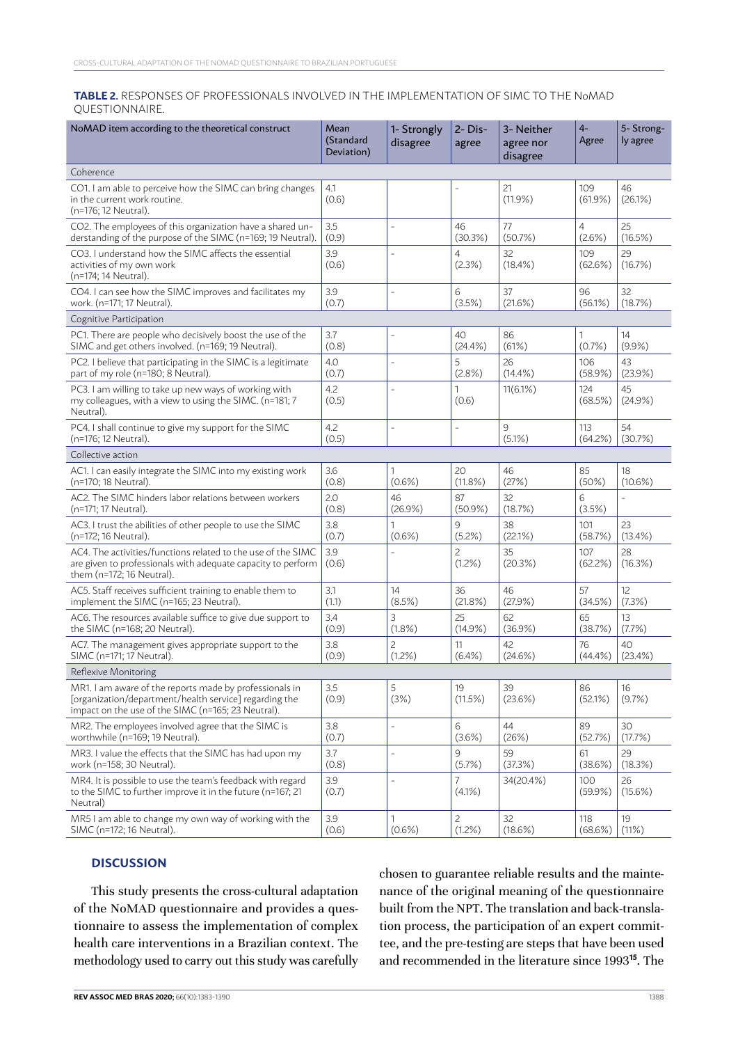#### **TABLE 2.** RESPONSES OF PROFESSIONALS INVOLVED IN THE IMPLEMENTATION OF SIMC TO THE NoMAD QUESTIONNAIRE.

| NoMAD item according to the theoretical construct                                                                                                                       | Mean<br>(Standard<br>Deviation) | 1- Strongly<br>disagree  | 2-Dis-<br>agree             | 3- Neither<br>agree nor<br>disagree | $4-$<br>Agree     | 5-Strong-<br>ly agree |  |  |  |  |
|-------------------------------------------------------------------------------------------------------------------------------------------------------------------------|---------------------------------|--------------------------|-----------------------------|-------------------------------------|-------------------|-----------------------|--|--|--|--|
| Coherence                                                                                                                                                               |                                 |                          |                             |                                     |                   |                       |  |  |  |  |
| CO1. I am able to perceive how the SIMC can bring changes<br>in the current work routine.<br>(n=176; 12 Neutral).                                                       | 4.1<br>(0.6)                    |                          | L,                          | 21<br>$(11.9\%)$                    | 109<br>$(61.9\%)$ | 46<br>$(26.1\%)$      |  |  |  |  |
| CO2. The employees of this organization have a shared un-                                                                                                               | 3.5                             | $\bar{ }$                | 46                          | 77                                  | $\overline{4}$    | 25                    |  |  |  |  |
| derstanding of the purpose of the SIMC (n=169; 19 Neutral).                                                                                                             | (0.9)                           |                          | (30.3%)                     | (50.7%)                             | $(2.6\%)$         | (16.5%)               |  |  |  |  |
| CO3. I understand how the SIMC affects the essential<br>activities of my own work<br>(n=174; 14 Neutral).                                                               | 3.9<br>(0.6)                    | L,                       | 4<br>(2.3%)                 | 32<br>$(18.4\%)$                    | 109<br>(62.6%)    | 29<br>(16.7%)         |  |  |  |  |
| CO4. I can see how the SIMC improves and facilitates my                                                                                                                 | 3.9                             | L,                       | 6                           | 37                                  | 96                | 32                    |  |  |  |  |
| work. (n=171; 17 Neutral).                                                                                                                                              | (0.7)                           |                          | (3.5%)                      | (21.6%)                             | $(56.1\%)$        | (18.7%)               |  |  |  |  |
| Cognitive Participation                                                                                                                                                 |                                 |                          |                             |                                     |                   |                       |  |  |  |  |
| PC1. There are people who decisively boost the use of the                                                                                                               | 3.7                             | L,                       | 40                          | 86                                  | 1                 | 14                    |  |  |  |  |
| SIMC and get others involved. (n=169; 19 Neutral).                                                                                                                      | (0.8)                           |                          | (24.4% )                    | (61%)                               | (0.7%             | $(9.9\%)$             |  |  |  |  |
| PC2. I believe that participating in the SIMC is a legitimate                                                                                                           | 4.0                             | L,                       | 5                           | 26                                  | 106               | 43                    |  |  |  |  |
| part of my role (n=180; 8 Neutral).                                                                                                                                     | (0.7)                           |                          | $(2.8\%)$                   | $(14.4\%)$                          | (58.9%)           | (23.9%)               |  |  |  |  |
| PC3. I am willing to take up new ways of working with<br>my colleagues, with a view to using the SIMC. (n=181; 7<br>Neutral).                                           | 4.2<br>(0.5)                    | $\overline{a}$           | 1<br>(0.6)                  | $11(6.1\%)$                         | 124<br>(68.5%)    | 45<br>$(24.9\%)$      |  |  |  |  |
| PC4. I shall continue to give my support for the SIMC<br>(n=176; 12 Neutral).                                                                                           | 4.2<br>(0.5)                    | $\overline{\phantom{a}}$ | $\overline{\phantom{a}}$    | 9<br>$(5.1\%)$                      | 113<br>(64.2%)    | 54<br>(30.7%)         |  |  |  |  |
| Collective action                                                                                                                                                       |                                 |                          |                             |                                     |                   |                       |  |  |  |  |
| AC1. I can easily integrate the SIMC into my existing work                                                                                                              | 3.6                             | 1                        | 20                          | 46                                  | 85                | 18                    |  |  |  |  |
| (n=170; 18 Neutral).                                                                                                                                                    | (0.8)                           | $(0.6\%)$                | $(11.8\%)$                  | (27%)                               | $(50\%)$          | $(10.6\%)$            |  |  |  |  |
| AC2. The SIMC hinders labor relations between workers                                                                                                                   | 2.0                             | 46                       | 87                          | 32                                  | 6                 |                       |  |  |  |  |
| (n=171; 17 Neutral).                                                                                                                                                    | (0.8)                           | $(26.9\%)$               | $(50.9\%)$                  | (18.7%)                             | (3.5%)            |                       |  |  |  |  |
| AC3. I trust the abilities of other people to use the SIMC                                                                                                              | 3.8                             | 1                        | 9                           | 38                                  | 101               | 23                    |  |  |  |  |
| (n=172; 16 Neutral).                                                                                                                                                    | (0.7)                           | $(0.6\%)$                | $(5.2\%)$                   | (22.1%)                             | (58.7%)           | $(13.4\%)$            |  |  |  |  |
| AC4. The activities/functions related to the use of the SIMC<br>are given to professionals with adequate capacity to perform<br>them (n=172; 16 Neutral).               | 3.9<br>(0.6)                    | L,                       | 2<br>$(1.2\%)$              | 35<br>(20.3%)                       | 107<br>(62.2%)    | 28<br>(16.3%)         |  |  |  |  |
| AC5. Staff receives sufficient training to enable them to                                                                                                               | 3.1                             | 14                       | 36                          | 46                                  | 57                | 12                    |  |  |  |  |
| implement the SIMC (n=165; 23 Neutral).                                                                                                                                 | (1.1)                           | $(8.5\%)$                | (21.8%)                     | (27.9%)                             | (34.5%)           | (7.3%)                |  |  |  |  |
| AC6. The resources available suffice to give due support to                                                                                                             | 3.4                             | 3                        | 25                          | 62                                  | 65                | 13                    |  |  |  |  |
| the SIMC (n=168; 20 Neutral).                                                                                                                                           | (0.9)                           | $(1.8\%)$                | $(14.9\%)$                  | $(36.9\%)$                          | (38.7%)           | (7.7%)                |  |  |  |  |
| AC7. The management gives appropriate support to the                                                                                                                    | 3.8                             | $\overline{c}$           | 11                          | 42                                  | 76                | 40                    |  |  |  |  |
| SIMC (n=171; 17 Neutral).                                                                                                                                               | (0.9)                           | $(1.2\%)$                | $(6.4\%)$                   | $(24.6\%)$                          | $(44.4\%)$        | $(23.4\%)$            |  |  |  |  |
| Reflexive Monitoring                                                                                                                                                    |                                 |                          |                             |                                     |                   |                       |  |  |  |  |
| MR1. I am aware of the reports made by professionals in<br>[organization/department/health service] regarding the<br>impact on the use of the SIMC (n=165; 23 Neutral). | 3.5<br>(0.9)                    | 5<br>(3%)                | 19<br>(11.5%)               | 39<br>(23.6%)                       | 86<br>(52.1%)     | 16<br>$(9.7\%)$       |  |  |  |  |
| MR2. The employees involved agree that the SIMC is                                                                                                                      | 3.8                             | $\overline{\phantom{a}}$ | 6                           | 44                                  | 89                | 30                    |  |  |  |  |
| worthwhile (n=169; 19 Neutral).                                                                                                                                         | (0.7)                           |                          | $(3.6\%)$                   | (26%)                               | (52.7%)           | (17.7%)               |  |  |  |  |
| MR3. I value the effects that the SIMC has had upon my                                                                                                                  | 3.7                             | $\qquad \qquad -$        | 9                           | 59                                  | 61                | 29                    |  |  |  |  |
| work (n=158; 30 Neutral).                                                                                                                                               | (0.8)                           |                          | $(5.7\%)$                   | (37.3%)                             | (38.6%)           | (18.3%)               |  |  |  |  |
| MR4. It is possible to use the team's feedback with regard<br>to the SIMC to further improve it in the future (n=167; 21<br>Neutral)                                    | 3.9<br>(0.7)                    | $\frac{1}{2}$            | $\overline{7}$<br>$(4.1\%)$ | 34(20.4%)                           | 100<br>$(59.9\%)$ | 26<br>$(15.6\%)$      |  |  |  |  |
| MR5 I am able to change my own way of working with the                                                                                                                  | 3.9                             | 1                        | $\overline{c}$              | 32                                  | 118               | 19                    |  |  |  |  |
| SIMC (n=172; 16 Neutral).                                                                                                                                               | (0.6)                           | $(0.6\%)$                | (1.2%)                      | $(18.6\%)$                          | (68.6%)           | (11%)                 |  |  |  |  |

# **DISCUSSION**

This study presents the cross-cultural adaptation of the NoMAD questionnaire and provides a questionnaire to assess the implementation of complex health care interventions in a Brazilian context. The methodology used to carry out this study was carefully chosen to guarantee reliable results and the maintenance of the original meaning of the questionnaire built from the NPT. The translation and back-translation process, the participation of an expert committee, and the pre-testing are steps that have been used and recommended in the literature since 1993**15**. The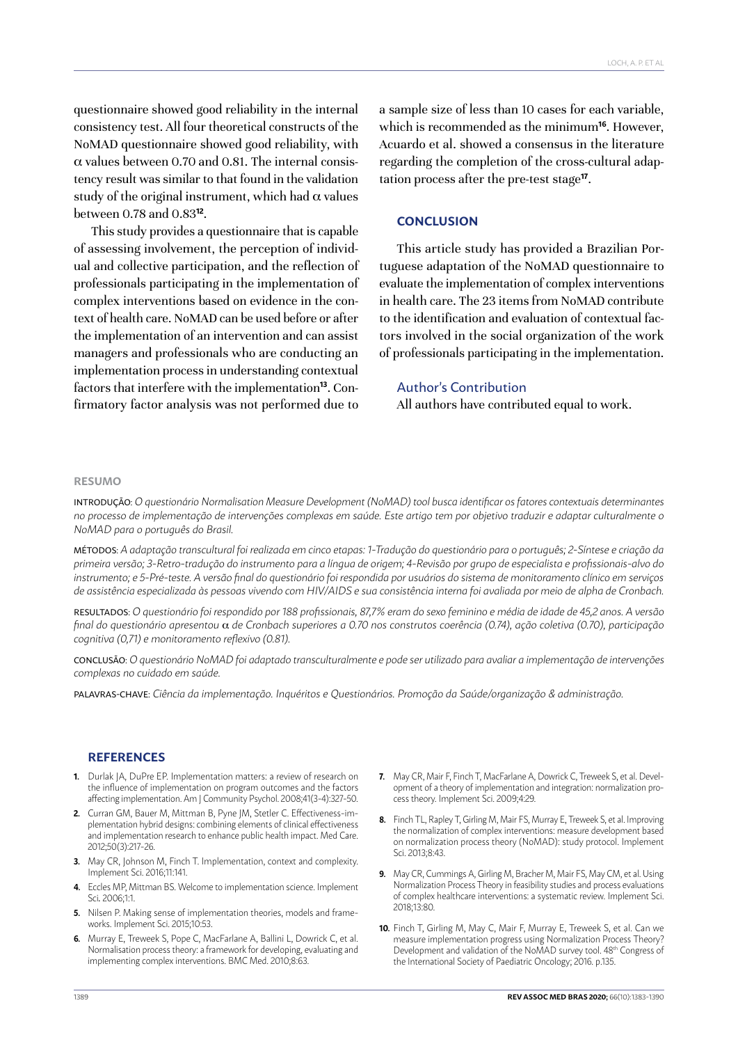questionnaire showed good reliability in the internal consistency test. All four theoretical constructs of the NoMAD questionnaire showed good reliability, with α values between 0.70 and 0.81. The internal consistency result was similar to that found in the validation study of the original instrument, which had  $\alpha$  values between 0.78 and 0.83**<sup>12</sup>**.

This study provides a questionnaire that is capable of assessing involvement, the perception of individual and collective participation, and the reflection of professionals participating in the implementation of complex interventions based on evidence in the context of health care. NoMAD can be used before or after the implementation of an intervention and can assist managers and professionals who are conducting an implementation process in understanding contextual factors that interfere with the implementation**13**. Confirmatory factor analysis was not performed due to

a sample size of less than 10 cases for each variable, which is recommended as the minimum**<sup>16</sup>**. However, Acuardo et al. showed a consensus in the literature regarding the completion of the cross-cultural adaptation process after the pre-test stage**<sup>17</sup>**.

#### **CONCLUSION**

This article study has provided a Brazilian Portuguese adaptation of the NoMAD questionnaire to evaluate the implementation of complex interventions in health care. The 23 items from NoMAD contribute to the identification and evaluation of contextual factors involved in the social organization of the work of professionals participating in the implementation.

## Author's Contribution

All authors have contributed equal to work.

#### **RESUMO**

INTRODUÇÃO: *O questionário Normalisation Measure Development (NoMAD) tool busca identificar os fatores contextuais determinantes no processo de implementação de intervenções complexas em saúde. Este artigo tem por objetivo traduzir e adaptar culturalmente o NoMAD para o português do Brasil.*

MÉTODOS: *A adaptação transcultural foi realizada em cinco etapas: 1-Tradução do questionário para o português; 2-Síntese e criação da primeira versão; 3-Retro-tradução do instrumento para a língua de origem; 4-Revisão por grupo de especialista e profissionais-alvo do instrumento; e 5-Pré-teste. A versão final do questionário foi respondida por usuários do sistema de monitoramento clínico em serviços de assistência especializada às pessoas vivendo com HIV/AIDS e sua consistência interna foi avaliada por meio de alpha de Cronbach.*

RESULTADOS: *O questionário foi respondido por 188 profissionais, 87,7% eram do sexo feminino e média de idade de 45,2 anos. A versão final do questionário apresentou* α *de Cronbach superiores a 0.70 nos construtos coerência (0.74), ação coletiva (0.70), participação cognitiva (0,71) e monitoramento reflexivo (0.81).*

CONCLUSÃO: *O questionário NoMAD foi adaptado transculturalmente e pode ser utilizado para avaliar a implementação de intervenções complexas no cuidado em saúde.*

PALAVRAS-CHAVE: *Ciência da implementação. Inquéritos e Questionários. Promoção da Saúde/organização & administração.*

#### **REFERENCES**

- **1.** Durlak JA, DuPre EP. Implementation matters: a review of research on the influence of implementation on program outcomes and the factors affecting implementation. Am J Community Psychol. 2008;41(3-4):327-50.
- **2.** Curran GM, Bauer M, Mittman B, Pyne JM, Stetler C. Effectiveness-implementation hybrid designs: combining elements of clinical effectiveness and implementation research to enhance public health impact. Med Care. 2012;50(3):217-26.
- **3.** May CR, Johnson M, Finch T. Implementation, context and complexity. Implement Sci. 2016;11:141.
- **4.** Eccles MP, Mittman BS. Welcome to implementation science. Implement Sci*.* 2006;1:1.
- **5.** Nilsen P. Making sense of implementation theories, models and frameworks. Implement Sci. 2015;10:53.
- **6.** Murray E, Treweek S, Pope C, MacFarlane A, Ballini L, Dowrick C, et al. Normalisation process theory: a framework for developing, evaluating and implementing complex interventions. BMC Med. 2010;8:63.
- **7.** May CR, Mair F, Finch T, MacFarlane A, Dowrick C, Treweek S, et al. Development of a theory of implementation and integration: normalization process theory. Implement Sci. 2009;4:29.
- **8.** Finch TL, Rapley T, Girling M, Mair FS, Murray E, Treweek S, et al. Improving the normalization of complex interventions: measure development based on normalization process theory (NoMAD): study protocol. Implement Sci. 2013;8:43.
- **9.** May CR, Cummings A, Girling M, Bracher M, Mair FS, May CM, et al. Using Normalization Process Theory in feasibility studies and process evaluations of complex healthcare interventions: a systematic review. [Implement Sci](https://www.ncbi.nlm.nih.gov/pubmed/29879986). 2018;13:80.
- **10.** Finch T, Girling M, May C, Mair F, Murray E, Treweek S, et al. Can we measure implementation progress using Normalization Process Theory? Development and validation of the NoMAD survey tool. 48<sup>th</sup> Congress of the International Society of Paediatric Oncology; 2016. p.135.